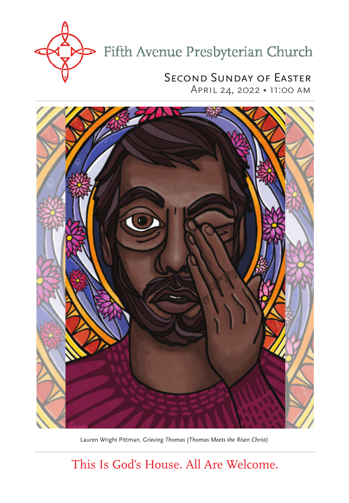

## Second Sunday of Easter

April 24, 2022 • 11:00 am



Lauren Wright Pittman, *Grieving Thomas (Thomas Meets the Risen Christ)*

This Is God's House. All Are Welcome.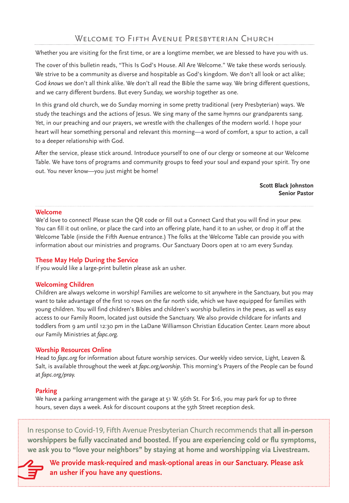Whether you are visiting for the first time, or are a longtime member, we are blessed to have you with us.

The cover of this bulletin reads, "This Is God's House. All Are Welcome." We take these words seriously. We strive to be a community as diverse and hospitable as God's kingdom. We don't all look or act alike; God *knows* we don't all think alike. We don't all read the Bible the same way. We bring different questions, and we carry different burdens. But every Sunday, we worship together as one.

In this grand old church, we do Sunday morning in some pretty traditional (very Presbyterian) ways. We study the teachings and the actions of Jesus. We sing many of the same hymns our grandparents sang. Yet, in our preaching and our prayers, we wrestle with the challenges of the modern world. I hope your heart will hear something personal and relevant this morning—a word of comfort, a spur to action, a call to a deeper relationship with God.

After the service, please stick around. Introduce yourself to one of our clergy or someone at our Welcome Table. We have tons of programs and community groups to feed your soul and expand your spirit. Try one out. You never know—you just might be home!

> **Scott Black Johnston Senior Pastor**

#### **Welcome**

We'd love to connect! Please scan the QR code or fill out a Connect Card that you will find in your pew. You can fill it out online, or place the card into an offering plate, hand it to an usher, or drop it off at the Welcome Table (inside the Fifth Avenue entrance.) The folks at the Welcome Table can provide you with information about our ministries and programs. Our Sanctuary Doors open at 10 am every Sunday.

#### **These May Help During the Service**

If you would like a large-print bulletin please ask an usher.

#### **Welcoming Children**

Children are always welcome in worship! Families are welcome to sit anywhere in the Sanctuary, but you may want to take advantage of the first 10 rows on the far north side, which we have equipped for families with young children. You will find children's Bibles and children's worship bulletins in the pews, as well as easy access to our Family Room, located just outside the Sanctuary. We also provide childcare for infants and toddlers from 9 am until 12:30 pm in the LaDane Williamson Christian Education Center. Learn more about our Family Ministries at *fapc.org.*

#### **Worship Resources Online**

Head to *fapc.org* for information about future worship services. Our weekly video service, Light, Leaven & Salt, is available throughout the week at *fapc.org/worship*. This morning's Prayers of the People can be found at *fapc.org/pray.*

#### **Parking**

We have a parking arrangement with the garage at 51 W. 56th St. For \$16, you may park for up to three hours, seven days a week. Ask for discount coupons at the 55th Street reception desk.

In response to Covid-19, Fifth Avenue Presbyterian Church recommends that **all in-person worshippers be fully vaccinated and boosted. If you are experiencing cold or flu symptoms, we ask you to "love your neighbors" by staying at home and worshipping via Livestream.**



**We provide mask-required and mask-optional areas in our Sanctuary. Please ask an usher if you have any questions.**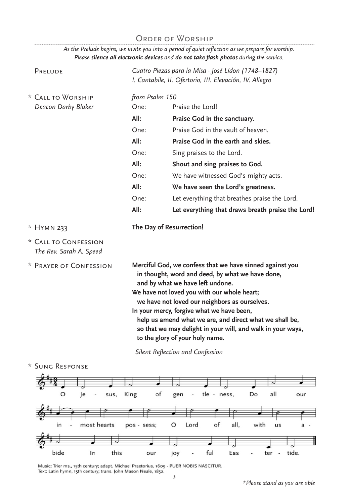### ORDER OF WORSHIP

*As the Prelude begins, we invite you into a period of quiet reflection as we prepare for worship. Please silence all electronic devices and do not take flash photos during the service.* 

| PRELUDE                                         |                                                                                                                                                                                                                                                                                                                                                                                                                                                            | Cuatro Piezas para la Misa · José Lídon (1748-1827)<br>I. Cantabile, II. Ofertorio, III. Elevación, IV. Allegro |  |
|-------------------------------------------------|------------------------------------------------------------------------------------------------------------------------------------------------------------------------------------------------------------------------------------------------------------------------------------------------------------------------------------------------------------------------------------------------------------------------------------------------------------|-----------------------------------------------------------------------------------------------------------------|--|
| * CALL TO WORSHIP<br>Deacon Darby Blaker        | One:                                                                                                                                                                                                                                                                                                                                                                                                                                                       | from Psalm 150<br>Praise the Lord!                                                                              |  |
|                                                 | All:                                                                                                                                                                                                                                                                                                                                                                                                                                                       | Praise God in the sanctuary.                                                                                    |  |
|                                                 | One:                                                                                                                                                                                                                                                                                                                                                                                                                                                       | Praise God in the vault of heaven.                                                                              |  |
|                                                 | All:                                                                                                                                                                                                                                                                                                                                                                                                                                                       | Praise God in the earth and skies.                                                                              |  |
|                                                 | One:                                                                                                                                                                                                                                                                                                                                                                                                                                                       | Sing praises to the Lord.                                                                                       |  |
|                                                 | All:                                                                                                                                                                                                                                                                                                                                                                                                                                                       | Shout and sing praises to God.                                                                                  |  |
|                                                 | One:                                                                                                                                                                                                                                                                                                                                                                                                                                                       | We have witnessed God's mighty acts.                                                                            |  |
|                                                 | All:                                                                                                                                                                                                                                                                                                                                                                                                                                                       | We have seen the Lord's greatness.                                                                              |  |
|                                                 | One:                                                                                                                                                                                                                                                                                                                                                                                                                                                       | Let everything that breathes praise the Lord.                                                                   |  |
|                                                 | All:                                                                                                                                                                                                                                                                                                                                                                                                                                                       | Let everything that draws breath praise the Lord!                                                               |  |
| * HYMN 233                                      | The Day of Resurrection!                                                                                                                                                                                                                                                                                                                                                                                                                                   |                                                                                                                 |  |
| * CALL TO CONFESSION<br>The Rev. Sarah A. Speed |                                                                                                                                                                                                                                                                                                                                                                                                                                                            |                                                                                                                 |  |
| * PRAYER OF CONFESSION                          | Merciful God, we confess that we have sinned against you<br>in thought, word and deed, by what we have done,<br>and by what we have left undone.<br>We have not loved you with our whole heart;<br>we have not loved our neighbors as ourselves.<br>In your mercy, forgive what we have been,<br>help us amend what we are, and direct what we shall be,<br>so that we may delight in your will, and walk in your ways,<br>to the glory of your holy name. |                                                                                                                 |  |
|                                                 | Silent Reflection and Confession                                                                                                                                                                                                                                                                                                                                                                                                                           |                                                                                                                 |  |



Music: Trier ms., 15th century; adapt. Michael Praetorius, 1609 - PUER NOBIS NASCITUR.<br>Text: Latin hymn, 15th century; trans. John Mason Neale, 1852.<br>**3**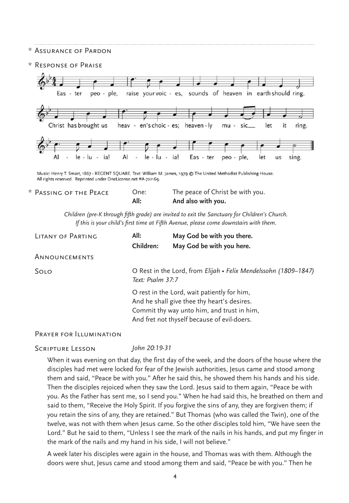#### \* Assurance of Pardon

\* Response of Praise



Music: Henry T. Smart, 1867 - REGENT SQUARE. Text: William M. James, 1979 @ The United Methodist Publishing House. All rights reserved. Reprinted under OneLicense.net #A-721169.

| $^\star$ Passing of the Peace $^\star$ | One: | The peace of Christ be with you. |
|----------------------------------------|------|----------------------------------|
|                                        | All: | And also with you.               |

*Children (pre-K through fifth grade) are invited to exit the Sanctuary for Children's Church. If this is your child's first time at Fifth Avenue, please come downstairs with them.*

| LITANY OF PARTING | All:<br>Children:                                                                                                                                                                                                                                                              | May God be with you there.<br>May God be with you here. |
|-------------------|--------------------------------------------------------------------------------------------------------------------------------------------------------------------------------------------------------------------------------------------------------------------------------|---------------------------------------------------------|
| ANNOUNCEMENTS     |                                                                                                                                                                                                                                                                                |                                                         |
| SOLO              | O Rest in the Lord, from Elijah • Felix Mendelssohn (1809–1847)<br>Text: Psalm 37:7<br>O rest in the Lord, wait patiently for him,<br>And he shall give thee thy heart's desires.<br>Commit thy way unto him, and trust in him,<br>And fret not thyself because of evil-doers. |                                                         |
|                   |                                                                                                                                                                                                                                                                                |                                                         |

Prayer for Illumination

Scripture Lesson *John 20:19-31*

When it was evening on that day, the first day of the week, and the doors of the house where the disciples had met were locked for fear of the Jewish authorities, Jesus came and stood among them and said, "Peace be with you." After he said this, he showed them his hands and his side. Then the disciples rejoiced when they saw the Lord. Jesus said to them again, "Peace be with you. As the Father has sent me, so I send you." When he had said this, he breathed on them and said to them, "Receive the Holy Spirit. If you forgive the sins of any, they are forgiven them; if you retain the sins of any, they are retained." But Thomas (who was called the Twin), one of the twelve, was not with them when Jesus came. So the other disciples told him, "We have seen the Lord." But he said to them, "Unless I see the mark of the nails in his hands, and put my finger in the mark of the nails and my hand in his side, I will not believe."

A week later his disciples were again in the house, and Thomas was with them. Although the doors were shut, Jesus came and stood among them and said, "Peace be with you." Then he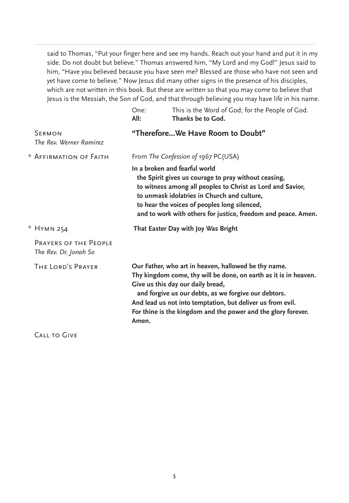said to Thomas, "Put your finger here and see my hands. Reach out your hand and put it in my side. Do not doubt but believe." Thomas answered him, "My Lord and my God!" Jesus said to him, "Have you believed because you have seen me? Blessed are those who have not seen and yet have come to believe." Now Jesus did many other signs in the presence of his disciples, which are not written in this book. But these are written so that you may come to believe that Jesus is the Messiah, the Son of God, and that through believing you may have life in his name.

|                                                       | One:<br>All:                                                                                                                                                                                                                                                                                                                                                  | This is the Word of God; for the People of God.<br>Thanks be to God. |  |
|-------------------------------------------------------|---------------------------------------------------------------------------------------------------------------------------------------------------------------------------------------------------------------------------------------------------------------------------------------------------------------------------------------------------------------|----------------------------------------------------------------------|--|
| <b>SERMON</b><br>The Rev. Werner Ramirez              | "ThereforeWe Have Room to Doubt"                                                                                                                                                                                                                                                                                                                              |                                                                      |  |
| * AFFIRMATION OF FAITH                                | From The Confession of 1967 PC(USA)                                                                                                                                                                                                                                                                                                                           |                                                                      |  |
|                                                       | In a broken and fearful world<br>the Spirit gives us courage to pray without ceasing,<br>to witness among all peoples to Christ as Lord and Savior,<br>to unmask idolatries in Church and culture,<br>to hear the voices of peoples long silenced,<br>and to work with others for justice, freedom and peace. Amen.                                           |                                                                      |  |
| * HYMN 254                                            | That Easter Day with Joy Was Bright                                                                                                                                                                                                                                                                                                                           |                                                                      |  |
| <b>PRAYERS OF THE PEOPLE</b><br>The Rev. Dr. Jonah So |                                                                                                                                                                                                                                                                                                                                                               |                                                                      |  |
| THE LORD'S PRAYER                                     | Our Father, who art in heaven, hallowed be thy name.<br>Thy kingdom come, thy will be done, on earth as it is in heaven.<br>Give us this day our daily bread,<br>and forgive us our debts, as we forgive our debtors.<br>And lead us not into temptation, but deliver us from evil.<br>For thine is the kingdom and the power and the glory forever.<br>Amen. |                                                                      |  |
|                                                       |                                                                                                                                                                                                                                                                                                                                                               |                                                                      |  |

CALL TO GIVE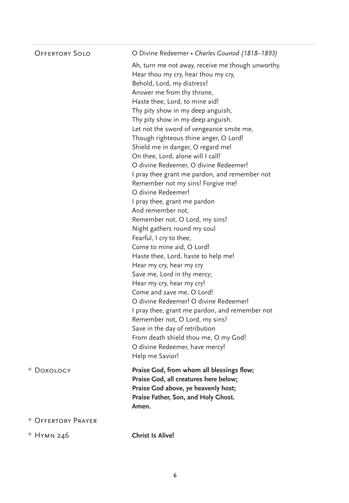| <b>OFFERTORY SOLO</b> | O Divine Redeemer • Charles Gounod (1818-1893)                    |
|-----------------------|-------------------------------------------------------------------|
|                       | Ah, turn me not away, receive me though unworthy.                 |
|                       | Hear thou my cry, hear thou my cry,<br>Behold, Lord, my distress! |
|                       | Answer me from thy throne,                                        |
|                       | Haste thee, Lord, to mine aid!                                    |
|                       |                                                                   |
|                       | Thy pity show in my deep anguish,                                 |
|                       | Thy pity show in my deep anguish.                                 |
|                       | Let not the sword of vengeance smite me,                          |
|                       | Though righteous thine anger, O Lord!                             |
|                       | Shield me in danger, O regard me!                                 |
|                       | On thee, Lord, alone will I call!                                 |
|                       | O divine Redeemer, O divine Redeemer!                             |
|                       | I pray thee grant me pardon, and remember not                     |
|                       | Remember not my sins! Forgive me!                                 |
|                       | O divine Redeemer!                                                |
|                       | I pray thee, grant me pardon                                      |
|                       | And remember not,                                                 |
|                       | Remember not, O Lord, my sins!                                    |
|                       | Night gathers round my soul                                       |
|                       | Fearful, I cry to thee,                                           |
|                       | Come to mine aid, O Lord!                                         |
|                       | Haste thee, Lord, haste to help me!                               |
|                       | Hear my cry, hear my cry                                          |
|                       | Save me, Lord in thy mercy;                                       |
|                       | Hear my cry, hear my cry!                                         |
|                       | Come and save me, O Lord!                                         |
|                       | O divine Redeemer! O divine Redeemer!                             |
|                       | I pray thee, grant me pardon, and remember not                    |
|                       | Remember not, O Lord, my sins!                                    |
|                       | Save in the day of retribution                                    |
|                       | From death shield thou me, O my God!                              |
|                       | O divine Redeemer, have mercy!                                    |
|                       | Help me Savior!                                                   |
| * DOXOLOGY            | Praise God, from whom all blessings flow;                         |
|                       | Praise God, all creatures here below;                             |
|                       | Praise God above, ye heavenly host;                               |
|                       | Praise Father, Son, and Holy Ghost.                               |
|                       | Amen.                                                             |
| * OFFFRTORY PRAYER    |                                                                   |
| * HYMN 246            | <b>Christ Is Alive!</b>                                           |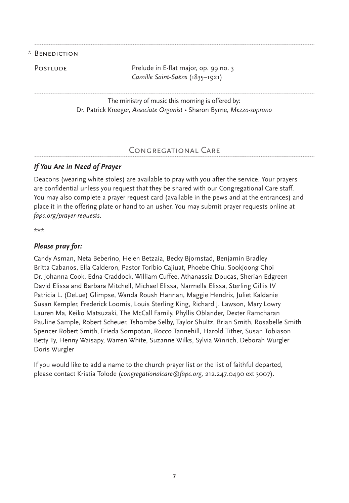#### \* Benediction

POSTLUDE POSTLUDE Prelude in E-flat major, op. 99 no. 3 *Camille Saint-Saëns* (1835–1921)

> The ministry of music this morning is offered by: Dr. Patrick Kreeger, *Associate Organist •* Sharon Byrne, *Mezzo-soprano*

#### Congregational Care

#### *If You Are in Need of Prayer*

Deacons (wearing white stoles) are available to pray with you after the service. Your prayers are confidential unless you request that they be shared with our Congregational Care staff. You may also complete a prayer request card (available in the pews and at the entrances) and place it in the offering plate or hand to an usher. You may submit prayer requests online at *fapc.org/prayer-requests*.

\*\*\*

#### *Please pray for:*

Candy Asman, Neta Beberino, Helen Betzaia, Becky Bjornstad, Benjamin Bradley Britta Cabanos, Ella Calderon, Pastor Toribio Cajiuat, Phoebe Chiu, Sookjoong Choi Dr. Johanna Cook, Edna Craddock, William Cuffee, Athanassia Doucas, Sherian Edgreen David Elissa and Barbara Mitchell, Michael Elissa, Narmella Elissa, Sterling Gillis IV Patricia L. (DeLue) Glimpse, Wanda Roush Hannan, Maggie Hendrix, Juliet Kaldanie Susan Kempler, Frederick Loomis, Louis Sterling King, Richard J. Lawson, Mary Lowry Lauren Ma, Keiko Matsuzaki, The McCall Family, Phyllis Oblander, Dexter Ramcharan Pauline Sample, Robert Scheuer, Tshombe Selby, Taylor Shultz, Brian Smith, Rosabelle Smith Spencer Robert Smith, Frieda Sompotan, Rocco Tannehill, Harold Tither, Susan Tobiason Betty Ty, Henny Waisapy, Warren White, Suzanne Wilks, Sylvia Winrich, Deborah Wurgler Doris Wurgler

If you would like to add a name to the church prayer list or the list of faithful departed, please contact Kristia Tolode (*congregationalcare@fapc.org,* 212.247.0490 ext 3007).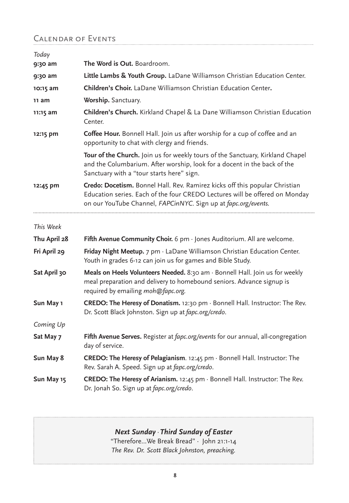## Calendar of Events

| Today        |                                                                                                                                                                                                                              |
|--------------|------------------------------------------------------------------------------------------------------------------------------------------------------------------------------------------------------------------------------|
| 9:30 am      | <b>The Word is Out.</b> Boardroom.                                                                                                                                                                                           |
| 9:30 am      | Little Lambs & Youth Group. LaDane Williamson Christian Education Center.                                                                                                                                                    |
| $10:15$ am   | Children's Choir. LaDane Williamson Christian Education Center.                                                                                                                                                              |
| 11 am        | Worship. Sanctuary.                                                                                                                                                                                                          |
| 11:15 am     | Children's Church. Kirkland Chapel & La Dane Williamson Christian Education<br>Center.                                                                                                                                       |
| 12:15 pm     | Coffee Hour. Bonnell Hall. Join us after worship for a cup of coffee and an<br>opportunity to chat with clergy and friends.                                                                                                  |
|              | Tour of the Church. Join us for weekly tours of the Sanctuary, Kirkland Chapel<br>and the Columbarium. After worship, look for a docent in the back of the<br>Sanctuary with a "tour starts here" sign.                      |
| 12:45 pm     | Credo: Docetism. Bonnel Hall. Rev. Ramirez kicks off this popular Christian<br>Education series. Each of the four CREDO Lectures will be offered on Monday<br>on our YouTube Channel, FAPCinNYC. Sign up at fapc.org/events. |
| This Week    |                                                                                                                                                                                                                              |
| Thu April 28 | Fifth Avenue Community Choir. $6 \text{ pm} \cdot \text{Jones}$ Auditorium. All are welcome.                                                                                                                                 |
| Fri April 29 | Friday Night Meetup. 7 pm · LaDane Williamson Christian Education Center.<br>Youth in grades 6-12 can join us for games and Bible Study.                                                                                     |
| Sat April 30 | Meals on Heels Volunteers Needed. 8:30 am · Bonnell Hall. Join us for weekly<br>meal preparation and delivery to homebound seniors. Advance signup is<br>required by emailing moh@fapc.org.                                  |
| Sun May 1    | CREDO: The Heresy of Donatism. 12:30 pm · Bonnell Hall. Instructor: The Rev.<br>Dr. Scott Black Johnston. Sign up at fapc.org/credo.                                                                                         |
| Coming Up    |                                                                                                                                                                                                                              |
| Sat May 7    | Fifth Avenue Serves. Register at fapc.org/events for our annual, all-congregation<br>day of service.                                                                                                                         |
| Sun May 8    | CREDO: The Heresy of Pelagianism. 12:45 pm · Bonnell Hall. Instructor: The<br>Rev. Sarah A. Speed. Sign up at fapc.org/credo.                                                                                                |
| Sun May 15   | CREDO: The Heresy of Arianism. 12:45 pm · Bonnell Hall. Instructor: The Rev.<br>Dr. Jonah So. Sign up at fapc.org/credo.                                                                                                     |

## *Next Sunday · Third Sunday of Easter*

"Therefore…We Break Bread" · John 21:1-14 *The Rev. Dr. Scott Black Johnston, preaching.*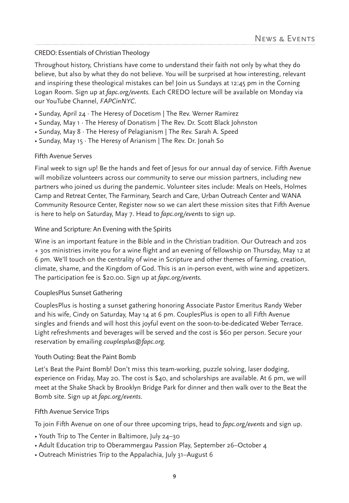#### CREDO: Essentials of Christian Theology

Throughout history, Christians have come to understand their faith not only by what they do believe, but also by what they do not believe. You will be surprised at how interesting, relevant and inspiring these theological mistakes can be! Join us Sundays at 12:45 pm in the Corning Logan Room. Sign up at *fapc.org/events.* Each CREDO lecture will be available on Monday via our YouTube Channel, *FAPCinNYC*.

- Sunday, April 24 ⋅ The Heresy of Docetism | The Rev. Werner Ramirez
- Sunday, May 1 ⋅ The Heresy of Donatism | The Rev. Dr. Scott Black Johnston
- Sunday, May 8 ⋅ The Heresy of Pelagianism | The Rev. Sarah A. Speed
- Sunday, May 15 ⋅ The Heresy of Arianism | The Rev. Dr. Jonah So

#### Fifth Avenue Serves

Final week to sign up! Be the hands and feet of Jesus for our annual day of service. Fifth Avenue will mobilize volunteers across our community to serve our mission partners, including new partners who joined us during the pandemic. Volunteer sites include: Meals on Heels, Holmes Camp and Retreat Center, The Farminary, Search and Care, Urban Outreach Center and WANA Community Resource Center, Register now so we can alert these mission sites that Fifth Avenue is here to help on Saturday, May 7. Head to *fapc.org/events* to sign up.

#### Wine and Scripture: An Evening with the Spirits

Wine is an important feature in the Bible and in the Christian tradition. Our Outreach and 20s + 30s ministries invite you for a wine flight and an evening of fellowship on Thursday, May 12 at 6 pm. We'll touch on the centrality of wine in Scripture and other themes of farming, creation, climate, shame, and the Kingdom of God. This is an in-person event, with wine and appetizers. The participation fee is \$20.00. Sign up at *fapc.org/events.*

#### CouplesPlus Sunset Gathering

CouplesPlus is hosting a sunset gathering honoring Associate Pastor Emeritus Randy Weber and his wife, Cindy on Saturday, May 14 at 6 pm. CouplesPlus is open to all Fifth Avenue singles and friends and will host this joyful event on the soon-to-be-dedicated Weber Terrace. Light refreshments and beverages will be served and the cost is \$60 per person. Secure your reservation by emailing *couplesplus@fapc.org.*

#### Youth Outing: Beat the Paint Bomb

Let's Beat the Paint Bomb! Don't miss this team-working, puzzle solving, laser dodging, experience on Friday, May 20. The cost is \$40, and scholarships are available. At 6 pm, we will meet at the Shake Shack by Brooklyn Bridge Park for dinner and then walk over to the Beat the Bomb site. Sign up at *fapc.org/events*.

#### Fifth Avenue Service Trips

To join Fifth Avenue on one of our three upcoming trips, head to *fapc.org/events* and sign up.

- Youth Trip to The Center in Baltimore, July 24–30
- Adult Education trip to Oberammergau Passion Play, September 26–October 4
- Outreach Ministries Trip to the Appalachia, July 31–August 6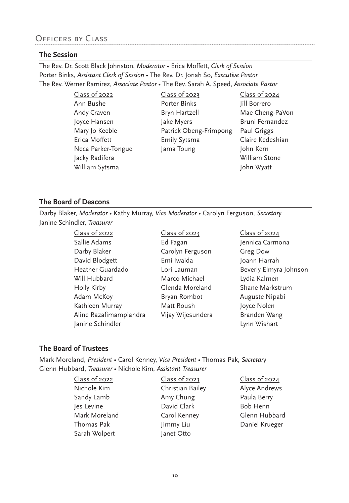## Officers by Class

#### **The Session**

The Rev. Dr. Scott Black Johnston, *Moderator* • Erica Moffett, *Clerk of Session* Porter Binks, *Assistant Clerk of Session* • The Rev. Dr. Jonah So, *Executive Pastor* The Rev. Werner Ramirez, *Associate Pastor •* The Rev. Sarah A. Speed, *Associate Pastor*

> Class of 2022 Ann Bushe Andy Craven Joyce Hansen Mary Jo Keeble Erica Moffett Neca Parker-Tongue Jacky Radifera William Sytsma

Class of 2023 Porter Binks Bryn Hartzell Jake Myers Patrick Obeng-Frimpong Emily Sytsma Jama Toung

Class of 2024 Jill Borrero Mae Cheng-PaVon Bruni Fernandez Paul Griggs Claire Kedeshian John Kern William Stone John Wyatt

#### **The Board of Deacons**

Darby Blaker, *Moderator* • Kathy Murray, *Vice Moderator* • Carolyn Ferguson, *Secretary*  Janine Schindler, *Treasurer*

> Class of 2022 Sallie Adams Darby Blaker David Blodgett Heather Guardado Will Hubbard Holly Kirby Adam McKoy Kathleen Murray Aline Razafimampiandra Janine Schindler

Class of 2023 Ed Fagan Carolyn Ferguson Emi Iwaida Lori Lauman Marco Michael Glenda Moreland Bryan Rombot Matt Roush Vijay Wijesundera Class of 2024 Jennica Carmona Greg Dow Joann Harrah Beverly Elmyra Johnson Lydia Kalmen Shane Markstrum Auguste Nipabi Joyce Nolen Branden Wang Lynn Wishart

#### **The Board of Trustees**

Mark Moreland, *President* • Carol Kenney, *Vice President •* Thomas Pak, *Secretary* Glenn Hubbard, *Treasurer •* Nichole Kim, *Assistant Treasurer*

| Class of 2022 | Class of 2023    | Class of 2024  |
|---------------|------------------|----------------|
| Nichole Kim   | Christian Bailey | Alyce Andrews  |
| Sandy Lamb    | Amy Chung        | Paula Berry    |
| Jes Levine    | David Clark      | Bob Henn       |
| Mark Moreland | Carol Kenney     | Glenn Hubbard  |
| Thomas Pak    | Jimmy Liu        | Daniel Krueger |
| Sarah Wolpert | Janet Otto       |                |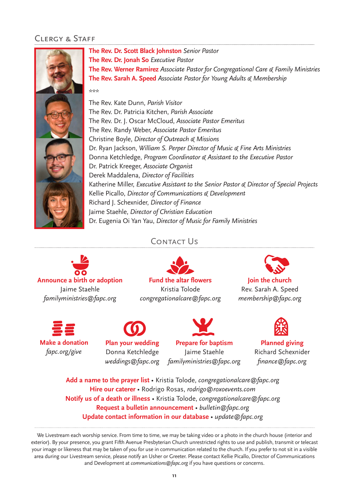## Clergy & Staff



Contact Us



**Fund the altar flowers**  Kristia Tolode *congregationalcare@fapc.org*



*fapc.org/give*



**Plan your wedding** Donna Ketchledge

**Prepare for baptism** Jaime Staehle *familyministries@fapc.org weddings@fapc.org*

**Join the church** Rev. Sarah A. Speed *membership@fapc.org*



**Planned giving** Richard Schexnider *finance@fapc.org*

**Add a name to the prayer list** • Kristia Tolode, *congregationalcare@fapc.org* **Hire our caterer** • Rodrigo Rosas, *rodrigo@roxoevents.com* **Notify us of a death or illness** • Kristia Tolode, *congregationalcare@fapc.org* **Request a bulletin announcement** • *bulletin@fapc.org* **Update contact information in our database** *• update@fapc.org*

We Livestream each worship service. From time to time, we may be taking video or a photo in the church house (interior and exterior). By your presence, you grant Fifth Avenue Presbyterian Church unrestricted rights to use and publish, transmit or telecast your image or likeness that may be taken of you for use in communication related to the church. If you prefer to not sit in a visible area during our Livestream service, please notify an Usher or Greeter. Please contact Kellie Picallo, Director of Communications and Development at *communications@fapc.org* if you have questions or concerns.